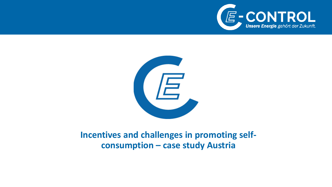



#### **Incentives and challenges in promoting selfconsumption – case study Austria**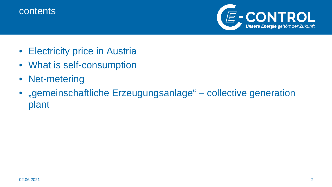#### contents



- Electricity price in Austria
- What is self-consumption
- Net-metering
- "gemeinschaftliche Erzeugungsanlage" collective generation plant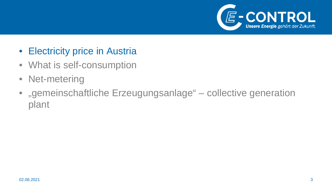

- Electricity price in Austria
- What is self-consumption
- Net-metering
- $\bullet$ "gemeinschaftliche Erzeugungsanlage" – collective generation plant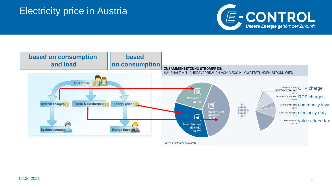# Electricity price in Austria



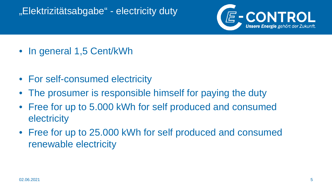# "Elektrizitätsabgabe" - electricity duty



- In general 1,5 Cent/kWh
- For self-consumed electricity
- The prosumer is responsible himself for paying the duty
- Free for up to 5.000 kWh for self produced and consumed **electricity**
- Free for up to 25.000 kWh for self produced and consumed renewable electricity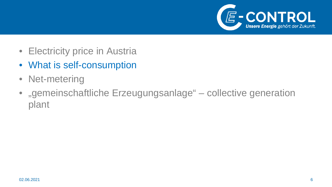

- Electricity price in Austria
- What is self-consumption
- Net-metering
- $\bullet$ "gemeinschaftliche Erzeugungsanlage" – collective generation plant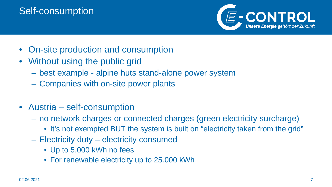# Self-consumption



- On-site production and consumption
- Without using the public grid
	- best example alpine huts stand-alone power system
	- Companies with on-site power plants
- Austria self-consumption
	- no network charges or connected charges (green electricity surcharge)
		- It's not exempted BUT the system is built on "electricity taken from the grid"
	- Electricity duty electricity consumed
		- Up to 5.000 kWh no fees
		- For renewable electricity up to 25.000 kWh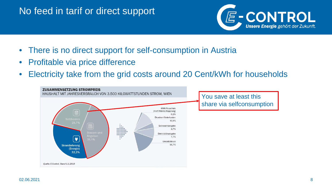# No feed in tarif or direct support



- There is no direct support for self-consumption in Austria
- Profitable via price difference
- Electricity take from the grid costs around 20 Cent/kWh for households

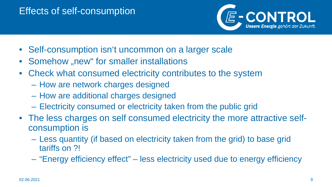## Effects of self-consumption



- Self-consumption isn't uncommon on a larger scale
- Somehow "new" for smaller installations
- Check what consumed electricity contributes to the system
	- How are network charges designed
	- How are additional charges designed
	- Electricity consumed or electricity taken from the public grid
- The less charges on self consumed electricity the more attractive selfconsumption is
	- Less quantity (if based on electricity taken from the grid) to base grid tariffs on ?!
	- "Energy efficiency effect" less electricity used due to energy efficiency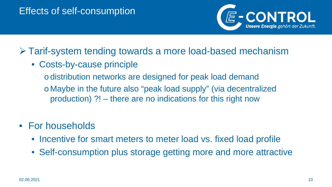

# Tarif-system tending towards a more load-based mechanism

• Costs-by-cause principle

o distribution networks are designed for peak load demand o Maybe in the future also "peak load supply" (via decentralized production) ?! – there are no indications for this right now

- For households
	- Incentive for smart meters to meter load vs. fixed load profile
	- Self-consumption plus storage getting more and more attractive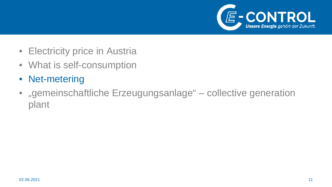

- Electricity price in Austria
- What is self-consumption
- Net-metering
- $\bullet$ "gemeinschaftliche Erzeugungsanlage" – collective generation plant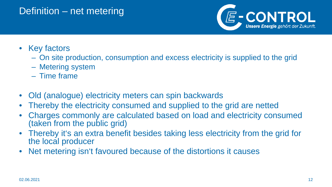#### Definition – net metering



- Key factors
	- On site production, consumption and excess electricity is supplied to the grid
	- Metering system
	- Time frame
- Old (analogue) electricity meters can spin backwards
- Thereby the electricity consumed and supplied to the grid are netted
- Charges commonly are calculated based on load and electricity consumed (taken from the public grid)
- Thereby it's an extra benefit besides taking less electricity from the grid for the local producer
- Net metering isn't favoured because of the distortions it causes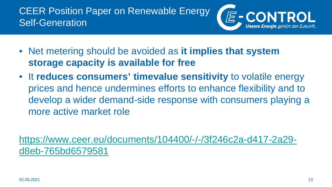

- Net metering should be avoided as **it implies that system storage capacity is available for free**
- It **reduces consumers' timevalue sensitivity** to volatile energy prices and hence undermines efforts to enhance flexibility and to develop a wider demand-side response with consumers playing a more active market role

[https://www.ceer.eu/documents/104400/-/-/3f246c2a-d417-2a29](https://www.ceer.eu/documents/104400/-/-/3f246c2a-d417-2a29-d8eb-765bd6579581) d8eb-765bd6579581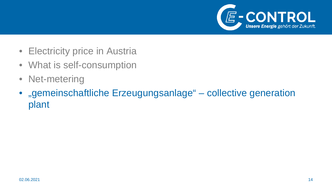

- Electricity price in Austria
- What is self-consumption
- Net-metering
- $\bullet$ "gemeinschaftliche Erzeugungsanlage" – collective generation plant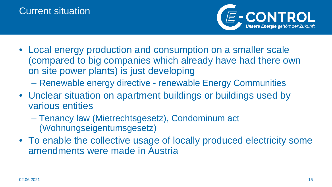

- Local energy production and consumption on a smaller scale (compared to big companies which already have had there own on site power plants) is just developing
	- Renewable energy directive renewable Energy Communities
- Unclear situation on apartment buildings or buildings used by various entities
	- Tenancy law (Mietrechtsgesetz), Condominum act (Wohnungseigentumsgesetz)
- To enable the collective usage of locally produced electricity some amendments were made in Austria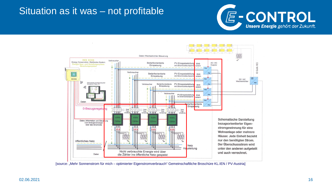#### Situation as it was – not profitable





[source: "Mehr Sonnenstrom für mich – optimierter Eigenstromverbrauch" Gemeinschaftliche Broschüre KL.IEN / PV-Austria]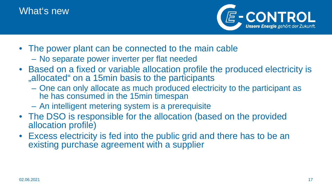## What's new



- The power plant can be connected to the main cable – No separate power inverter per flat needed
- Based on a fixed or variable allocation profile the produced electricity is ", allocated" on a 15min basis to the participants
	- One can only allocate as much produced electricity to the participant as he has consumed in the 15min timespan
	- An intelligent metering system is a prerequisite
- The DSO is responsible for the allocation (based on the provided allocation profile)
- Excess electricity is fed into the public grid and there has to be an existing purchase agreement with a supplier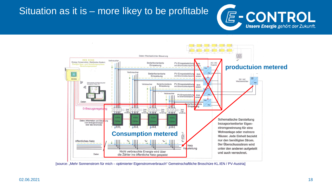## Situation as it is – more likey to be profitable



[source: "Mehr Sonnenstrom für mich – optimierter Eigenstromverbrauch" Gemeinschaftliche Broschüre KL.IEN / PV-Austria]

E-CONTROL

**Unsere Energie** gehört der Zukunft.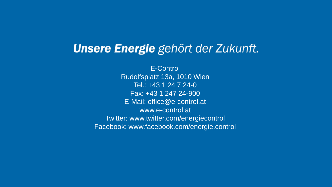# **Unsere Energie** gehört der Zukunft.

E-Control Rudolfsplatz 13a, 1010 Wien Tel.: +43 1 24 7 24-0 Fax: +43 1 247 24-900 E-Mail: office@e-control.at www.e-control.at Twitter: www.twitter.com/energiecontrol Facebook: www.facebook.com/energie.control